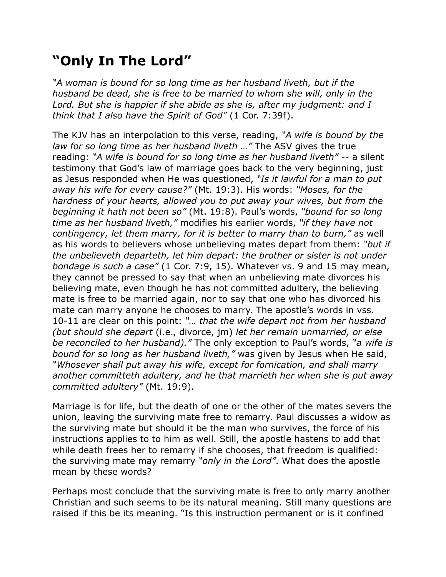## **"Only In The Lord"**

*"A woman is bound for so long time as her husband liveth, but if the husband be dead, she is free to be married to whom she will, only in the Lord. But she is happier if she abide as she is, after my judgment: and I think that I also have the Spirit of God"* (1 Cor. 7:39f).

The KJV has an interpolation to this verse, reading, *"A wife is bound by the law for so long time as her husband liveth …"* The ASV gives the true reading: *"A wife is bound for so long time as her husband liveth"* -- a silent testimony that God's law of marriage goes back to the very beginning, just as Jesus responded when He was questioned, *"Is it lawful for a man to put away his wife for every cause?"* (Mt. 19:3). His words: *"Moses, for the hardness of your hearts, allowed you to put away your wives, but from the beginning it hath not been so"* (Mt. 19:8). Paul's words, *"bound for so long time as her husband liveth,"* modifies his earlier words, *"if they have not contingency, let them marry, for it is better to marry than to burn,"* as well as his words to believers whose unbelieving mates depart from them: *"but if the unbelieveth departeth, let him depart: the brother or sister is not under bondage is such a case"* (1 Cor. 7:9, 15). Whatever vs. 9 and 15 may mean, they cannot be pressed to say that when an unbelieving mate divorces his believing mate, even though he has not committed adultery, the believing mate is free to be married again, nor to say that one who has divorced his mate can marry anyone he chooses to marry. The apostle's words in vss. 10-11 are clear on this point: *"… that the wife depart not from her husband (but should she depart* (i.e., divorce, jm) *let her remain unmarried, or else be reconciled to her husband)."* The only exception to Paul's words, *"a wife is bound for so long as her husband liveth,"* was given by Jesus when He said, *"Whosever shall put away his wife, except for fornication, and shall marry another committeth adultery, and he that marrieth her when she is put away committed adultery"* (Mt. 19:9).

Marriage is for life, but the death of one or the other of the mates severs the union, leaving the surviving mate free to remarry. Paul discusses a widow as the surviving mate but should it be the man who survives, the force of his instructions applies to to him as well. Still, the apostle hastens to add that while death frees her to remarry if she chooses, that freedom is qualified: the surviving mate may remarry *"only in the Lord"*. What does the apostle mean by these words?

Perhaps most conclude that the surviving mate is free to only marry another Christian and such seems to be its natural meaning. Still many questions are raised if this be its meaning. "Is this instruction permanent or is it confined